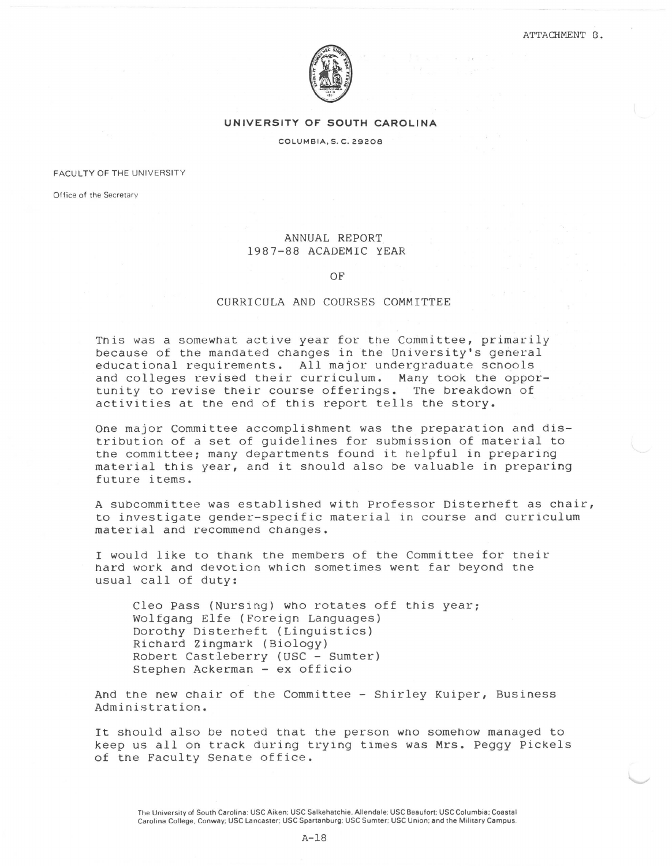

## **UNIVERSITY OF SOUTH CAROLINA**

COLUMBIA, S. C . 29208

FACULTY OF THE UNIVERSITY

Office of the Secretary

## ANNUAL REPORT 1987-88 ACADEMIC YEAR

## OF

## CURRICULA AND COURSES COMMITTEE

This was a somewhat active year for the Committee, primarily because of the mandated changes in the University's general educational requirements. All major undergraduate schools and colleges revised their curriculum. Many took the opportunity to revise their course offerings. The breakdown of activities at the end of this report tells the story.

One major Committee accomplishment was the preparation and distribution of a set of guidelines for submission of material to the committee; many departments found it helpful in preparing material this year, and it should also be valuable in preparing future items.

A subcommittee was established with Professor Disterheft as chair, to investigate gender-specific material in course and curriculum material and recommend changes.

I would like to thank the members of the Committee for their hard work and devotion which sometimes went far beyond the usual call of duty:

Cleo Pass (Nursing) who rotates off this year; Wolfgang Elfe (Foreign Languages) Dorothy Disterheft (Linguistics) Richard Zingmark (Biology) Robert Castleberry (USC - Sumter) Stephen Ackerman - ex officio

And the new chair of the Committee - Shirley Kuiper, Business Administration.

It should also be noted that the person wno somehow managed to keep us all on track during trying times was Mrs. Peggy Pickels of the Faculty Senate office.

The University of South Carolina: USC Aiken; USC Salkehatchie, Allendale; USC Beaufort; USC Columbia; Coastal Carolina College, Conway; USC Lancaster; USC Spartanburg; USC Sumter; USC Union; and the Military Campus.